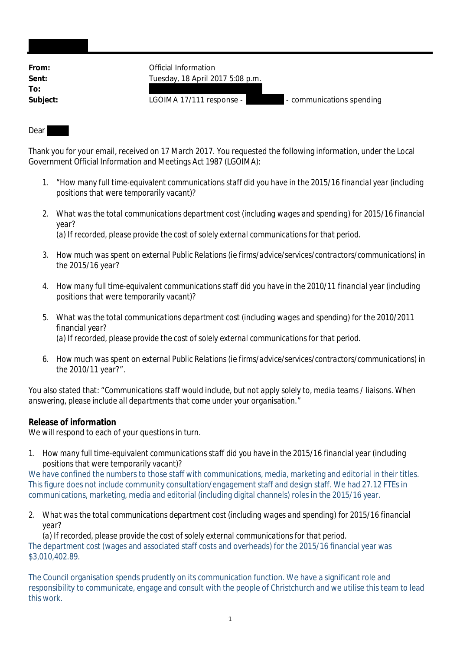| From:    | Official Information                                  |
|----------|-------------------------------------------------------|
| Sent:    | Tuesday, 18 April 2017 5:08 p.m.                      |
| To:      |                                                       |
| Subject: | LGOIMA 17/111 response -<br>- communications spending |
|          |                                                       |

## Dear

Thank you for your email, received on 17 March 2017. You requested the following information, under the Local Government Official Information and Meetings Act 1987 (LGOIMA):

- *1.* "*How many full time-equivalent communications staff did you have in the 2015/16 financial year (including positions that were temporarily vacant)?*
- *2. What was the total communications department cost (including wages and spending) for 2015/16 financial year? (a) If recorded, please provide the cost of solely external communications for that period.*
- *3. How much was spent on external Public Relations (ie firms/advice/services/contractors/communications) in the 2015/16 year?*
- *4. How many full time-equivalent communications staff did you have in the 2010/11 financial year (including positions that were temporarily vacant)?*
- *5. What was the total communications department cost (including wages and spending) for the 2010/2011 financial year? (a) If recorded, please provide the cost of solely external communications for that period.*
- *6. How much was spent on external Public Relations (ie firms/advice/services/contractors/communications) in the 2010/11 year?*".

You also stated that: "*Communications staff would include, but not apply solely to, media teams / liaisons. When answering, please include all departments that come under your organisation.*"

## **Release of information**

We will respond to each of your questions in turn.

*1. How many full time-equivalent communications staff did you have in the 2015/16 financial year (including positions that were temporarily vacant)?*

We have confined the numbers to those staff with communications, media, marketing and editorial in their titles. This figure does not include community consultation/engagement staff and design staff. We had 27.12 FTEs in communications, marketing, media and editorial (including digital channels) roles in the 2015/16 year.

*2. What was the total communications department cost (including wages and spending) for 2015/16 financial year?*

*(a) If recorded, please provide the cost of solely external communications for that period.* The department cost (wages and associated staff costs and overheads) for the 2015/16 financial year was \$3,010,402.89.

The Council organisation spends prudently on its communication function. We have a significant role and responsibility to communicate, engage and consult with the people of Christchurch and we utilise this team to lead this work.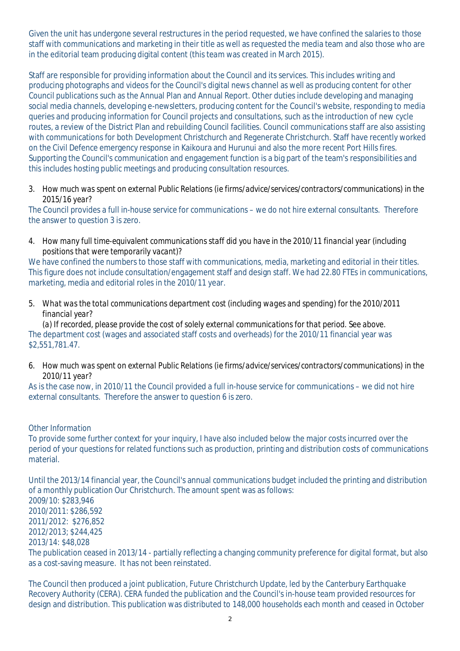Given the unit has undergone several restructures in the period requested, we have confined the salaries to those staff with communications and marketing in their title as well as requested the media team and also those who are in the editorial team producing digital content (this team was created in March 2015).

Staff are responsible for providing information about the Council and its services. This includes writing and producing photographs and videos for the Council's digital news channel as well as producing content for other Council publications such as the Annual Plan and Annual Report. Other duties include developing and managing social media channels, developing e-newsletters, producing content for the Council's website, responding to media queries and producing information for Council projects and consultations, such as the introduction of new cycle routes, a review of the District Plan and rebuilding Council facilities. Council communications staff are also assisting with communications for both Development Christchurch and Regenerate Christchurch. Staff have recently worked on the Civil Defence emergency response in Kaikoura and Hurunui and also the more recent Port Hills fires. Supporting the Council's communication and engagement function is a big part of the team's responsibilities and this includes hosting public meetings and producing consultation resources.

*3. How much was spent on external Public Relations (ie firms/advice/services/contractors/communications) in the 2015/16 year?*

The Council provides a full in-house service for communications – we do not hire external consultants. Therefore the answer to question 3 is zero.

*4. How many full time-equivalent communications staff did you have in the 2010/11 financial year (including positions that were temporarily vacant)?*

We have confined the numbers to those staff with communications, media, marketing and editorial in their titles. This figure does not include consultation/engagement staff and design staff. We had 22.80 FTEs in communications, marketing, media and editorial roles in the 2010/11 year.

*5. What was the total communications department cost (including wages and spending) for the 2010/2011 financial year?*

*(a) If recorded, please provide the cost of solely external communications for that period. See above.* The department cost (wages and associated staff costs and overheads) for the 2010/11 financial year was \$2,551,781.47.

*6. How much was spent on external Public Relations (ie firms/advice/services/contractors/communications) in the 2010/11 year?*

As is the case now, in 2010/11 the Council provided a full in-house service for communications – we did not hire external consultants. Therefore the answer to question 6 is zero.

## *Other Information*

To provide some further context for your inquiry, I have also included below the major costs incurred over the period of your questions for related functions such as production, printing and distribution costs of communications material.

Until the 2013/14 financial year, the Council's annual communications budget included the printing and distribution of a monthly publication Our Christchurch. The amount spent was as follows: 2009/10: \$283,946 2010/2011: \$286,592 2011/2012: \$276,852 2012/2013; \$244,425 2013/14: \$48,028 The publication ceased in 2013/14 - partially reflecting a changing community preference for digital format, but also as a cost-saving measure. It has not been reinstated.

The Council then produced a joint publication, Future Christchurch Update, led by the Canterbury Earthquake Recovery Authority (CERA). CERA funded the publication and the Council's in-house team provided resources for design and distribution. This publication was distributed to 148,000 households each month and ceased in October